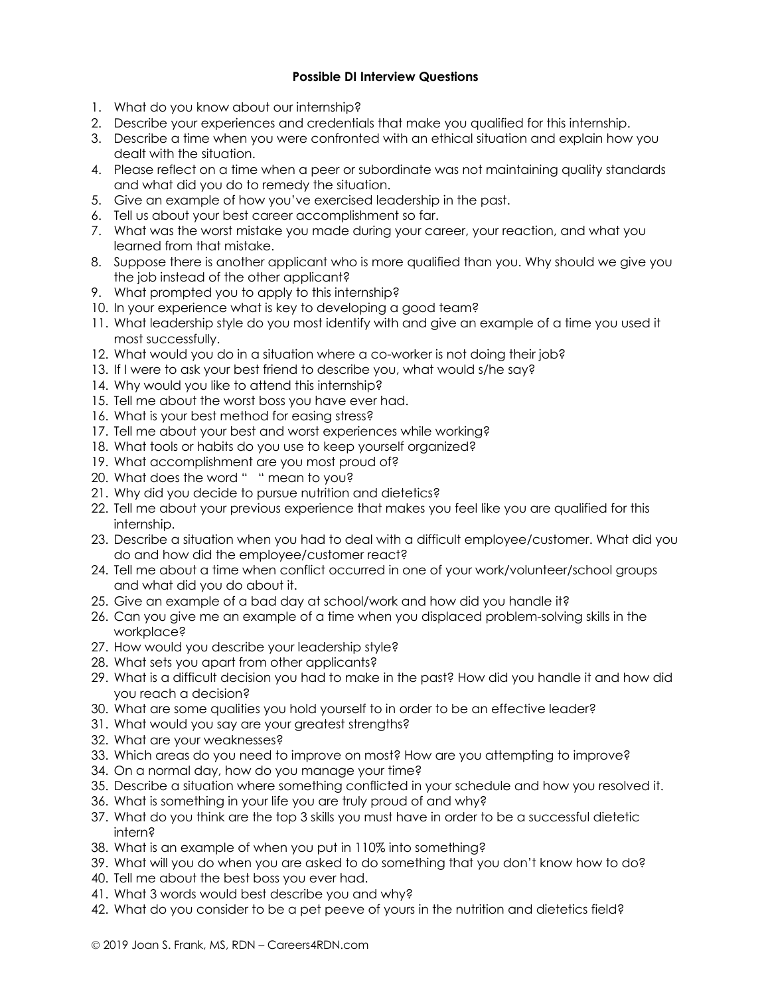## **Possible DI Interview Questions**

- 1. What do you know about our internship?
- 2. Describe your experiences and credentials that make you qualified for this internship.
- 3. Describe a time when you were confronted with an ethical situation and explain how you dealt with the situation.
- 4. Please reflect on a time when a peer or subordinate was not maintaining quality standards and what did you do to remedy the situation.
- 5. Give an example of how you've exercised leadership in the past.
- 6. Tell us about your best career accomplishment so far.
- 7. What was the worst mistake you made during your career, your reaction, and what you learned from that mistake.
- 8. Suppose there is another applicant who is more qualified than you. Why should we give you the job instead of the other applicant?
- 9. What prompted you to apply to this internship?
- 10. In your experience what is key to developing a good team?
- 11. What leadership style do you most identify with and give an example of a time you used it most successfully.
- 12. What would you do in a situation where a co-worker is not doing their job?
- 13. If I were to ask your best friend to describe you, what would s/he say?
- 14. Why would you like to attend this internship?
- 15. Tell me about the worst boss you have ever had.
- 16. What is your best method for easing stress?
- 17. Tell me about your best and worst experiences while working?
- 18. What tools or habits do you use to keep yourself organized?
- 19. What accomplishment are you most proud of?
- 20. What does the word " " mean to you?
- 21. Why did you decide to pursue nutrition and dietetics?
- 22. Tell me about your previous experience that makes you feel like you are qualified for this internship.
- 23. Describe a situation when you had to deal with a difficult employee/customer. What did you do and how did the employee/customer react?
- 24. Tell me about a time when conflict occurred in one of your work/volunteer/school groups and what did you do about it.
- 25. Give an example of a bad day at school/work and how did you handle it?
- 26. Can you give me an example of a time when you displaced problem-solving skills in the workplace?
- 27. How would you describe your leadership style?
- 28. What sets you apart from other applicants?
- 29. What is a difficult decision you had to make in the past? How did you handle it and how did you reach a decision?
- 30. What are some qualities you hold yourself to in order to be an effective leader?
- 31. What would you say are your greatest strengths?
- 32. What are your weaknesses?
- 33. Which areas do you need to improve on most? How are you attempting to improve?
- 34. On a normal day, how do you manage your time?
- 35. Describe a situation where something conflicted in your schedule and how you resolved it.
- 36. What is something in your life you are truly proud of and why?
- 37. What do you think are the top 3 skills you must have in order to be a successful dietetic intern?
- 38. What is an example of when you put in 110% into something?
- 39. What will you do when you are asked to do something that you don't know how to do?
- 40. Tell me about the best boss you ever had.
- 41. What 3 words would best describe you and why?
- 42. What do you consider to be a pet peeve of yours in the nutrition and dietetics field?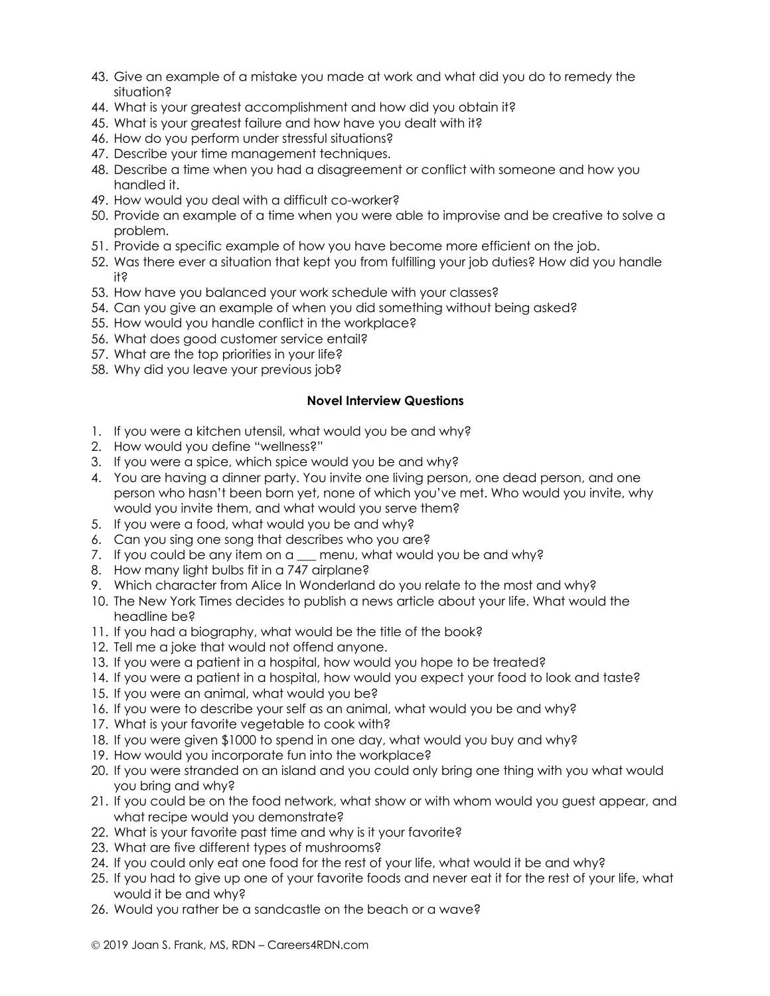- 43. Give an example of a mistake you made at work and what did you do to remedy the situation?
- 44. What is your greatest accomplishment and how did you obtain it?
- 45. What is your greatest failure and how have you dealt with it?
- 46. How do you perform under stressful situations?
- 47. Describe your time management techniques.
- 48. Describe a time when you had a disagreement or conflict with someone and how you handled it.
- 49. How would you deal with a difficult co-worker?
- 50. Provide an example of a time when you were able to improvise and be creative to solve a problem.
- 51. Provide a specific example of how you have become more efficient on the job.
- 52. Was there ever a situation that kept you from fulfilling your job duties? How did you handle it?
- 53. How have you balanced your work schedule with your classes?
- 54. Can you give an example of when you did something without being asked?
- 55. How would you handle conflict in the workplace?
- 56. What does good customer service entail?
- 57. What are the top priorities in your life?
- 58. Why did you leave your previous job?

## **Novel Interview Questions**

- 1. If you were a kitchen utensil, what would you be and why?
- 2. How would you define "wellness?"
- 3. If you were a spice, which spice would you be and why?
- 4. You are having a dinner party. You invite one living person, one dead person, and one person who hasn't been born yet, none of which you've met. Who would you invite, why would you invite them, and what would you serve them?
- 5. If you were a food, what would you be and why?
- 6. Can you sing one song that describes who you are?
- 7. If you could be any item on a \_\_ menu, what would you be and why?
- 8. How many light bulbs fit in a 747 airplane?
- 9. Which character from Alice In Wonderland do you relate to the most and why?
- 10. The New York Times decides to publish a news article about your life. What would the headline be?
- 11. If you had a biography, what would be the title of the book?
- 12. Tell me a joke that would not offend anyone.
- 13. If you were a patient in a hospital, how would you hope to be treated?
- 14. If you were a patient in a hospital, how would you expect your food to look and taste?
- 15. If you were an animal, what would you be?
- 16. If you were to describe your self as an animal, what would you be and why?
- 17. What is your favorite vegetable to cook with?
- 18. If you were given \$1000 to spend in one day, what would you buy and why?
- 19. How would you incorporate fun into the workplace?
- 20. If you were stranded on an island and you could only bring one thing with you what would you bring and why?
- 21. If you could be on the food network, what show or with whom would you guest appear, and what recipe would you demonstrate?
- 22. What is your favorite past time and why is it your favorite?
- 23. What are five different types of mushrooms?
- 24. If you could only eat one food for the rest of your life, what would it be and why?
- 25. If you had to give up one of your favorite foods and never eat it for the rest of your life, what would it be and why?
- 26. Would you rather be a sandcastle on the beach or a wave?